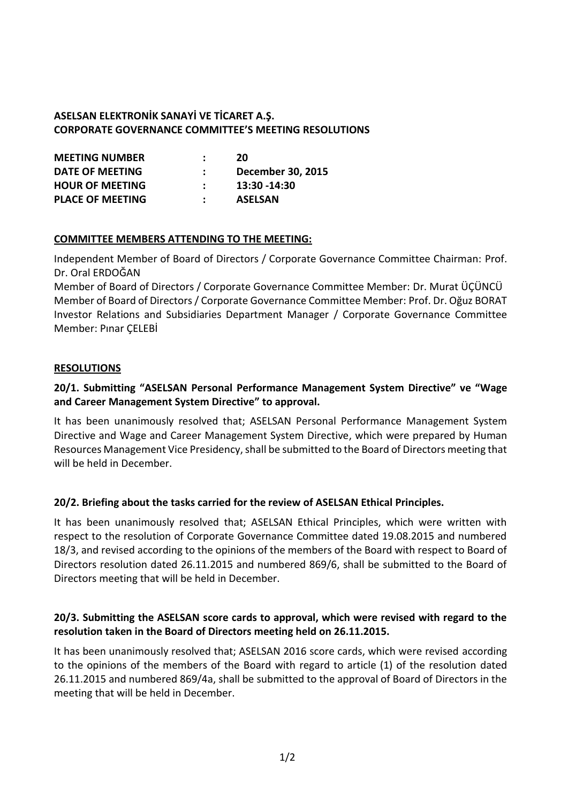# **ASELSAN ELEKTRONİK SANAYİ VE TİCARET A.Ş. CORPORATE GOVERNANCE COMMITTEE'S MEETING RESOLUTIONS**

| <b>MEETING NUMBER</b>   | 20                       |
|-------------------------|--------------------------|
| DATE OF MEETING         | <b>December 30, 2015</b> |
| <b>HOUR OF MEETING</b>  | 13:30 -14:30             |
| <b>PLACE OF MEETING</b> | <b>ASELSAN</b>           |

### **COMMITTEE MEMBERS ATTENDING TO THE MEETING:**

Independent Member of Board of Directors / Corporate Governance Committee Chairman: Prof. Dr. Oral ERDOĞAN

Member of Board of Directors / Corporate Governance Committee Member: Dr. Murat ÜÇÜNCÜ Member of Board of Directors / Corporate Governance Committee Member: Prof. Dr. Oğuz BORAT Investor Relations and Subsidiaries Department Manager / Corporate Governance Committee Member: Pınar ÇELEBİ

### **RESOLUTIONS**

# **20/1. Submitting "ASELSAN Personal Performance Management System Directive" ve "Wage and Career Management System Directive" to approval.**

It has been unanimously resolved that; ASELSAN Personal Performance Management System Directive and Wage and Career Management System Directive, which were prepared by Human Resources Management Vice Presidency, shall be submitted to the Board of Directors meeting that will be held in December.

### **20/2. Briefing about the tasks carried for the review of ASELSAN Ethical Principles.**

It has been unanimously resolved that; ASELSAN Ethical Principles, which were written with respect to the resolution of Corporate Governance Committee dated 19.08.2015 and numbered 18/3, and revised according to the opinions of the members of the Board with respect to Board of Directors resolution dated 26.11.2015 and numbered 869/6, shall be submitted to the Board of Directors meeting that will be held in December.

### **20/3. Submitting the ASELSAN score cards to approval, which were revised with regard to the resolution taken in the Board of Directors meeting held on 26.11.2015.**

It has been unanimously resolved that; ASELSAN 2016 score cards, which were revised according to the opinions of the members of the Board with regard to article (1) of the resolution dated 26.11.2015 and numbered 869/4a, shall be submitted to the approval of Board of Directors in the meeting that will be held in December.